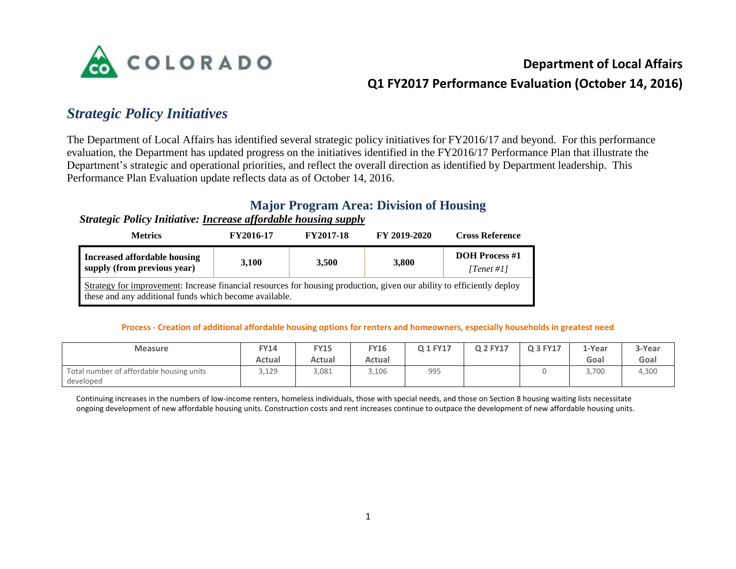

### **Department of Local Affairs**

## **Q1 FY2017 Performance Evaluation (October 14, 2016)**

## *Strategic Policy Initiatives*

The Department of Local Affairs has identified several strategic policy initiatives for FY2016/17 and beyond. For this performance evaluation, the Department has updated progress on the initiatives identified in the FY2016/17 Performance Plan that illustrate the Department's strategic and operational priorities, and reflect the overall direction as identified by Department leadership. This Performance Plan Evaluation update reflects data as of October 14, 2016.

### **Major Program Area: Division of Housing**

#### *Strategic Policy Initiative: Increase affordable housing supply*

| <b>Metrics</b>                                                                                                                                                                   | FY2016-17 |       | FY 2019-2020 | <b>Cross Reference</b>              |  |  |  |  |  |
|----------------------------------------------------------------------------------------------------------------------------------------------------------------------------------|-----------|-------|--------------|-------------------------------------|--|--|--|--|--|
| <b>Increased affordable housing</b><br>supply (from previous year)                                                                                                               | 3,100     | 3.500 | 3,800        | <b>DOH Process #1</b><br>[Tenet #1] |  |  |  |  |  |
| Strategy for improvement: Increase financial resources for housing production, given our ability to efficiently deploy<br>these and any additional funds which become available. |           |       |              |                                     |  |  |  |  |  |

#### **Process - Creation of additional affordable housing options for renters and homeowners, especially households in greatest need**

| <b>Measure</b>                           | Y14    | <b>FY15</b> | Y16    | Q 1 FY17 | Q 2 FY17 | Q 3 FY17 | L-Year | 3-Year |
|------------------------------------------|--------|-------------|--------|----------|----------|----------|--------|--------|
|                                          | Actual | Actual      | Actual |          |          |          | Goal   | Goal   |
| Total number of affordable housing units | 3,129  | 3,081       | 3,106  | 995      |          |          | 3,700  | 4,300  |
| developed                                |        |             |        |          |          |          |        |        |

Continuing increases in the numbers of low-income renters, homeless individuals, those with special needs, and those on Section 8 housing waiting lists necessitate ongoing development of new affordable housing units. Construction costs and rent increases continue to outpace the development of new affordable housing units.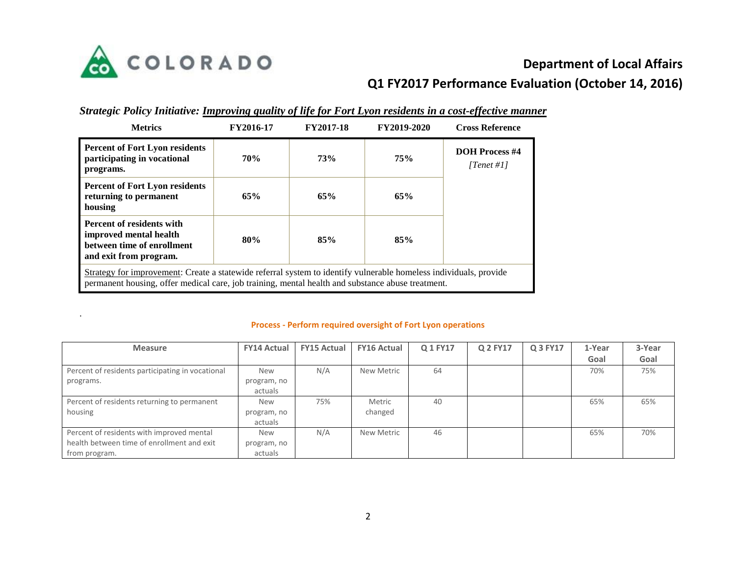

.

# **Department of Local Affairs Q1 FY2017 Performance Evaluation (October 14, 2016)**

|  | Strategic Policy Initiative: Improving quality of life for Fort Lyon residents in a cost-effective manner |
|--|-----------------------------------------------------------------------------------------------------------|
|  |                                                                                                           |

| <b>Metrics</b>                                                                                                                                                                                                         | FY2016-17  | <b>FY2017-18</b> | FY2019-2020 | <b>Cross Reference</b>              |
|------------------------------------------------------------------------------------------------------------------------------------------------------------------------------------------------------------------------|------------|------------------|-------------|-------------------------------------|
| <b>Percent of Fort Lyon residents</b><br>participating in vocational<br>programs.                                                                                                                                      | <b>70%</b> | 73%              | 75%         | <b>DOH Process #4</b><br>[Tenet #1] |
| <b>Percent of Fort Lyon residents</b><br>returning to permanent<br>housing                                                                                                                                             | 65%        | 65%              | 65%         |                                     |
| Percent of residents with<br>improved mental health<br>between time of enrollment<br>and exit from program.                                                                                                            | 80%        | 85%              | 85%         |                                     |
| Strategy for improvement: Create a statewide referral system to identify vulnerable homeless individuals, provide<br>permanent housing, offer medical care, job training, mental health and substance abuse treatment. |            |                  |             |                                     |

#### **Process - Perform required oversight of Fort Lyon operations**

| <b>Measure</b>                                   | <b>FY14 Actual</b> | <b>FY15 Actual</b> | <b>FY16 Actual</b> | Q 1 FY17 | Q 2 FY17 | Q 3 FY17 | 1-Year | 3-Year |
|--------------------------------------------------|--------------------|--------------------|--------------------|----------|----------|----------|--------|--------|
|                                                  |                    |                    |                    |          |          |          | Goal   | Goal   |
| Percent of residents participating in vocational | <b>New</b>         | N/A                | New Metric         | 64       |          |          | 70%    | 75%    |
| programs.                                        | program, no        |                    |                    |          |          |          |        |        |
|                                                  | actuals            |                    |                    |          |          |          |        |        |
| Percent of residents returning to permanent      | <b>New</b>         | 75%                | Metric             | 40       |          |          | 65%    | 65%    |
| housing                                          | program, no        |                    | changed            |          |          |          |        |        |
|                                                  | actuals            |                    |                    |          |          |          |        |        |
| Percent of residents with improved mental        | <b>New</b>         | N/A                | New Metric         | 46       |          |          | 65%    | 70%    |
| health between time of enrollment and exit       | program, no        |                    |                    |          |          |          |        |        |
| from program.                                    | actuals            |                    |                    |          |          |          |        |        |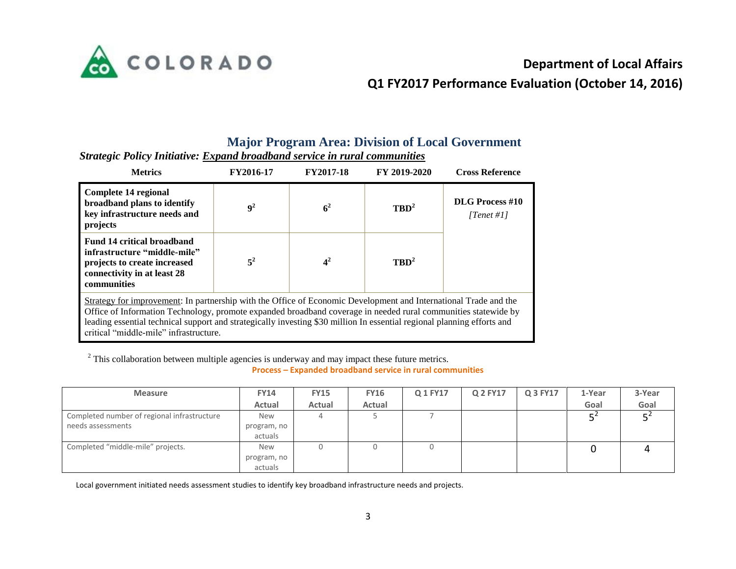

# **Department of Local Affairs**

## **Q1 FY2017 Performance Evaluation (October 14, 2016)**

#### **Major Program Area: Division of Local Government**

| <b>Metrics</b>                                                                                                                                                                                                                                                                                                                                                                                          | FY2016-17      | FY 2019-2020<br><b>FY2017-18</b> |                  |                                      |  | <b>Cross Reference</b> |  |  |  |  |
|---------------------------------------------------------------------------------------------------------------------------------------------------------------------------------------------------------------------------------------------------------------------------------------------------------------------------------------------------------------------------------------------------------|----------------|----------------------------------|------------------|--------------------------------------|--|------------------------|--|--|--|--|
| Complete 14 regional<br>broadband plans to identify<br>key infrastructure needs and<br>projects                                                                                                                                                                                                                                                                                                         | 9 <sup>2</sup> | 6 <sup>2</sup>                   | $TBD^2$          | <b>DLG</b> Process #10<br>[Tenet #1] |  |                        |  |  |  |  |
| <b>Fund 14 critical broadband</b><br>infrastructure "middle-mile"<br>projects to create increased<br>connectivity in at least 28<br>communities                                                                                                                                                                                                                                                         | $5^2$          | 4 <sup>2</sup>                   | TRD <sup>2</sup> |                                      |  |                        |  |  |  |  |
| Strategy for improvement: In partnership with the Office of Economic Development and International Trade and the<br>Office of Information Technology, promote expanded broadband coverage in needed rural communities statewide by<br>leading essential technical support and strategically investing \$30 million In essential regional planning efforts and<br>critical "middle-mile" infrastructure. |                |                                  |                  |                                      |  |                        |  |  |  |  |

*Strategic Policy Initiative: Expand broadband service in rural communities*

<sup>2</sup> This collaboration between multiple agencies is underway and may impact these future metrics.

**Process – Expanded broadband service in rural communities**

| <b>Measure</b>                                                   | <b>FY14</b>                          | <b>FY15</b> | <b>FY16</b> | Q 1 FY17 | Q 2 FY17 | Q 3 FY17 | 1-Year | 3-Year |
|------------------------------------------------------------------|--------------------------------------|-------------|-------------|----------|----------|----------|--------|--------|
|                                                                  | Actual                               | Actual      | Actual      |          |          |          | Goal   | Goal   |
| Completed number of regional infrastructure<br>needs assessments | <b>New</b><br>program, no<br>actuals |             |             |          |          |          |        |        |
| Completed "middle-mile" projects.                                | <b>New</b><br>program, no<br>actuals |             | 0           |          |          |          |        |        |

Local government initiated needs assessment studies to identify key broadband infrastructure needs and projects.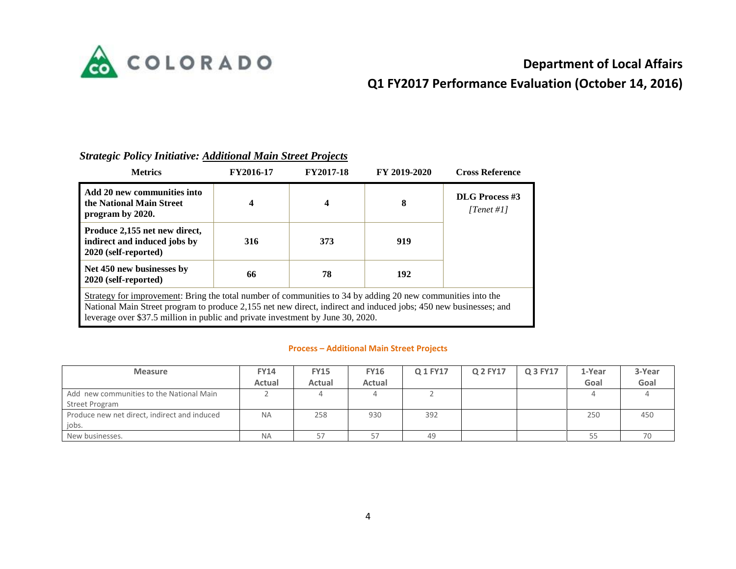

# **Department of Local Affairs**

# **Q1 FY2017 Performance Evaluation (October 14, 2016)**

| <b>Metrics</b>                                                                                                                                                                                                                                                                                                     | FY2016-17       | <b>FY2017-18</b>        | FY 2019-2020 | <b>Cross Reference</b>              |  |  |  |  |  |
|--------------------------------------------------------------------------------------------------------------------------------------------------------------------------------------------------------------------------------------------------------------------------------------------------------------------|-----------------|-------------------------|--------------|-------------------------------------|--|--|--|--|--|
| Add 20 new communities into<br>the National Main Street<br>program by 2020.                                                                                                                                                                                                                                        | 4               | $\overline{\mathbf{4}}$ | 8            | <b>DLG</b> Process #3<br>[Tenet #1] |  |  |  |  |  |
| Produce 2,155 net new direct,<br>indirect and induced jobs by<br>2020 (self-reported)                                                                                                                                                                                                                              | 316             | 373                     | 919          |                                     |  |  |  |  |  |
| Net 450 new businesses by<br>2020 (self-reported)                                                                                                                                                                                                                                                                  | 66<br>192<br>78 |                         |              |                                     |  |  |  |  |  |
| Strategy for improvement: Bring the total number of communities to 34 by adding 20 new communities into the<br>National Main Street program to produce 2,155 net new direct, indirect and induced jobs; 450 new businesses; and<br>leverage over \$37.5 million in public and private investment by June 30, 2020. |                 |                         |              |                                     |  |  |  |  |  |

#### *Strategic Policy Initiative: Additional Main Street Projects*

#### **Process – Additional Main Street Projects**

| <b>Measure</b>                               | <b>FY14</b> | <b>FY15</b> | <b>FY16</b> | Q 1 FY17 | Q 2 FY17 | Q 3 FY17 | 1-Year | 3-Year |
|----------------------------------------------|-------------|-------------|-------------|----------|----------|----------|--------|--------|
|                                              | Actual      | Actual      | Actual      |          |          |          | Goal   | Goal   |
| Add new communities to the National Main     |             |             |             |          |          |          |        |        |
| Street Program                               |             |             |             |          |          |          |        |        |
| Produce new net direct, indirect and induced | <b>NA</b>   | 258         | 930         | 392      |          |          | 250    | 450    |
| jobs.                                        |             |             |             |          |          |          |        |        |
| New businesses.                              | <b>NA</b>   |             |             | 49       |          |          |        |        |